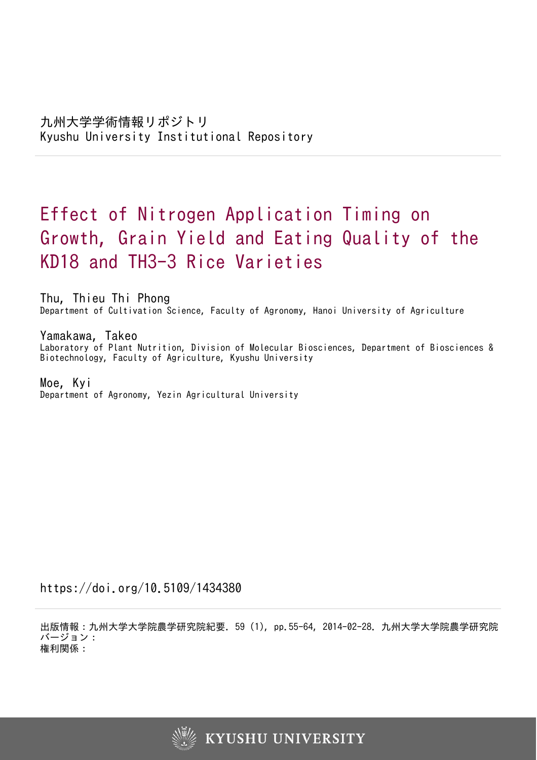# Effect of Nitrogen Application Timing on Growth, Grain Yield and Eating Quality of the KD18 and TH3-3 Rice Varieties

Thu, Thieu Thi Phong Department of Cultivation Science, Faculty of Agronomy, Hanoi University of Agriculture

Yamakawa, Takeo Laboratory of Plant Nutrition, Division of Molecular Biosciences, Department of Biosciences & Biotechnology, Faculty of Agriculture, Kyushu University

Moe, Kyi Department of Agronomy, Yezin Agricultural University

https://doi.org/10.5109/1434380

出版情報:九州大学大学院農学研究院紀要. 59 (1), pp.55-64, 2014-02-28. 九州大学大学院農学研究院 バージョン: 権利関係:

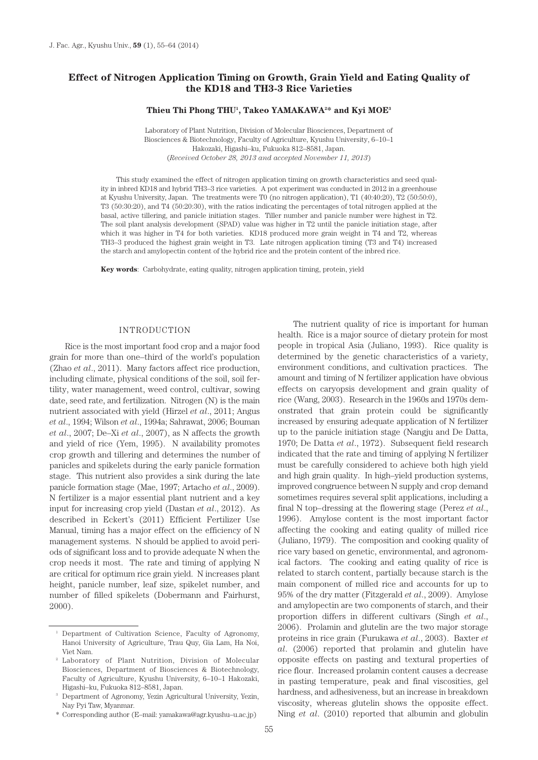## **Effect of Nitrogen Application Timing on Growth, Grain Yield and Eating Quality of the KD18 and TH3-3 Rice Varieties**

#### **Thieu Thi Phong THU1 , Takeo YAMAKAWA2 \* and Kyi MOE3**

Laboratory of Plant Nutrition, Division of Molecular Biosciences, Department of Biosciences & Biotechnology, Faculty of Agriculture, Kyushu University, 6–10–1 Hakozaki, Higashi–ku, Fukuoka 812–8581, Japan. (*Received October 28, 2013 and accepted November 11, 2013*)

This study examined the effect of nitrogen application timing on growth characteristics and seed quality in inbred KD18 and hybrid TH3–3 rice varieties. A pot experiment was conducted in 2012 in a greenhouse at Kyushu University, Japan. The treatments were T0 (no nitrogen application), T1 (40:40:20), T2 (50:50:0), T3 (50:30:20), and T4 (50:20:30), with the ratios indicating the percentages of total nitrogen applied at the basal, active tillering, and panicle initiation stages. Tiller number and panicle number were highest in T2. The soil plant analysis development (SPAD) value was higher in T2 until the panicle initiation stage, after which it was higher in T4 for both varieties. KD18 produced more grain weight in T4 and T2, whereas TH3–3 produced the highest grain weight in T3. Late nitrogen application timing (T3 and T4) increased the starch and amylopectin content of the hybrid rice and the protein content of the inbred rice.

**Key words**: Carbohydrate, eating quality, nitrogen application timing, protein, yield

## INTRODUCTION

Rice is the most important food crop and a major food grain for more than one–third of the world's population (Zhao *et al*., 2011). Many factors affect rice production, including climate, physical conditions of the soil, soil fertility, water management, weed control, cultivar, sowing date, seed rate, and fertilization. Nitrogen (N) is the main nutrient associated with yield (Hirzel *et al*., 2011; Angus *et al*., 1994; Wilson *et al*., 1994a; Sahrawat, 2006; Bouman *et al*., 2007; De–Xi *et al*., 2007), as N affects the growth and yield of rice (Yem, 1995). N availability promotes crop growth and tillering and determines the number of panicles and spikelets during the early panicle formation stage. This nutrient also provides a sink during the late panicle formation stage (Mae, 1997; Artacho *et al*., 2009). N fertilizer is a major essential plant nutrient and a key input for increasing crop yield (Dastan *et al*., 2012). As described in Eckert's (2011) Efficient Fertilizer Use Manual, timing has a major effect on the efficiency of N management systems. N should be applied to avoid periods of significant loss and to provide adequate N when the crop needs it most. The rate and timing of applying N are critical for optimum rice grain yield. N increases plant height, panicle number, leaf size, spikelet number, and number of filled spikelets (Dobermann and Fairhurst, 2000).

\* Corresponding author (E–mail: yamakawa@agr.kyushu–u.ac.jp)

The nutrient quality of rice is important for human health. Rice is a major source of dietary protein for most people in tropical Asia (Juliano, 1993). Rice quality is determined by the genetic characteristics of a variety, environment conditions, and cultivation practices. The amount and timing of N fertilizer application have obvious effects on caryopsis development and grain quality of rice (Wang, 2003). Research in the 1960s and 1970s demonstrated that grain protein could be significantly increased by ensuring adequate application of N fertilizer up to the panicle initiation stage (Nangju and De Datta, 1970; De Datta *et al*., 1972). Subsequent field research indicated that the rate and timing of applying N fertilizer must be carefully considered to achieve both high yield and high grain quality. In high–yield production systems, improved congruence between N supply and crop demand sometimes requires several split applications, including a final N top–dressing at the flowering stage (Perez *et al*., 1996). Amylose content is the most important factor affecting the cooking and eating quality of milled rice (Juliano, 1979). The composition and cooking quality of rice vary based on genetic, environmental, and agronomical factors. The cooking and eating quality of rice is related to starch content, partially because starch is the main component of milled rice and accounts for up to 95% of the dry matter (Fitzgerald *et al*., 2009). Amylose and amylopectin are two components of starch, and their proportion differs in different cultivars (Singh *et al*., 2006). Prolamin and glutelin are the two major storage proteins in rice grain (Furukawa *et al*., 2003). Baxter *et al*. (2006) reported that prolamin and glutelin have opposite effects on pasting and textural properties of rice flour. Increased prolamin content causes a decrease in pasting temperature, peak and final viscosities, gel hardness, and adhesiveness, but an increase in breakdown viscosity, whereas glutelin shows the opposite effect. Ning *et al*. (2010) reported that albumin and globulin

<sup>1</sup> Department of Cultivation Science, Faculty of Agronomy, Hanoi University of Agriculture, Trau Quy, Gia Lam, Ha Noi, Viet Nam. 2 Laboratory of Plant Nutrition, Division of Molecular

Biosciences, Department of Biosciences & Biotechnology, Faculty of Agriculture, Kyushu University, 6–10–1 Hakozaki, Higashi–ku, Fukuoka 812–8581, Japan.

<sup>3</sup> Department of Agronomy, Yezin Agricultural University, Yezin, Nay Pyi Taw, Myanmar.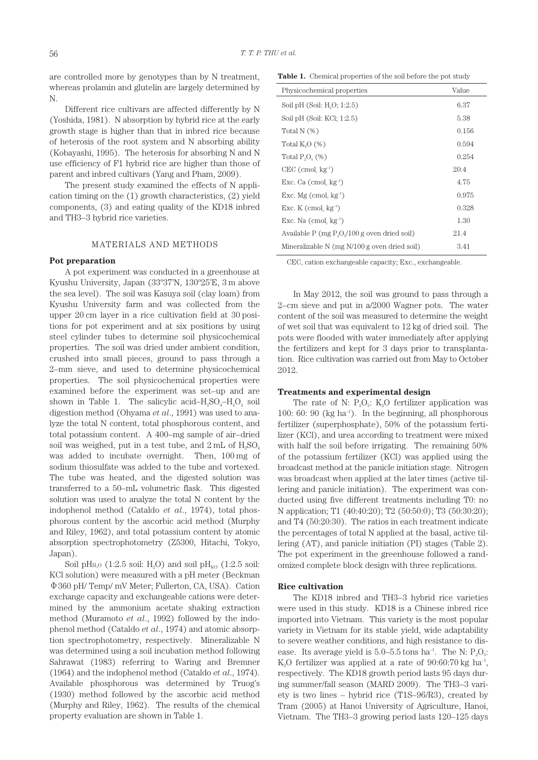are controlled more by genotypes than by N treatment, whereas prolamin and glutelin are largely determined by N.

Different rice cultivars are affected differently by N (Yoshida, 1981). N absorption by hybrid rice at the early growth stage is higher than that in inbred rice because of heterosis of the root system and N absorbing ability (Kobayashi, 1995). The heterosis for absorbing N and N use efficiency of F1 hybrid rice are higher than those of parent and inbred cultivars (Yang and Pham, 2009).

The present study examined the effects of N application timing on the (1) growth characteristics, (2) yield components, (3) and eating quality of the KD18 inbred and TH3–3 hybrid rice varieties.

#### MATERIALS AND METHODS

## **Pot preparation**

A pot experiment was conducted in a greenhouse at Kyushu University, Japan (33º37'N, 130º25'E, 3 m above the sea level). The soil was Kasuya soil (clay loam) from Kyushu University farm and was collected from the upper 20 cm layer in a rice cultivation field at 30 positions for pot experiment and at six positions by using steel cylinder tubes to determine soil physicochemical properties. The soil was dried under ambient condition, crushed into small pieces, ground to pass through a 2–mm sieve, and used to determine physicochemical properties. The soil physicochemical properties were examined before the experiment was set–up and are shown in Table 1. The salicylic acid– $H_2SO_4-H_2O_2$  soil digestion method (Ohyama *et al*., 1991) was used to analyze the total N content, total phosphorous content, and total potassium content. A 400–mg sample of air–dried soil was weighed, put in a test tube, and  $2 \text{ mL of } H_2SO_4$ was added to incubate overnight. Then, 100 mg of sodium thiosulfate was added to the tube and vortexed. The tube was heated, and the digested solution was transferred to a 50–mL volumetric flask. This digested solution was used to analyze the total N content by the indophenol method (Cataldo *et al*., 1974), total phosphorous content by the ascorbic acid method (Murphy and Riley, 1962), and total potassium content by atomic absorption spectrophotometry (Z5300, Hitachi, Tokyo, Japan).

Soil pH<sub>H<sub>2</sub>O (1:2.5 soil: H<sub>2</sub>O) and soil pH<sub>KCl</sub> (1:2.5 soil:</sub> KCl solution) were measured with a pH meter (Beckman Ф360 pH/ Temp/ mV Meter; Fullerton, CA, USA). Cation exchange capacity and exchangeable cations were determined by the ammonium acetate shaking extraction method (Muramoto *et al*., 1992) followed by the indophenol method (Cataldo *et al*., 1974) and atomic absorption spectrophotometry, respectively. Mineralizable N was determined using a soil incubation method following Sahrawat (1983) referring to Waring and Bremner (1964) and the indophenol method (Cataldo *et al*., 1974). Available phosphorous was determined by Truog's (1930) method followed by the ascorbic acid method (Murphy and Riley, 1962). The results of the chemical property evaluation are shown in Table 1.

**Table 1.** Chemical properties of the soil before the pot study

| Physicochemical properties                        | Value |
|---------------------------------------------------|-------|
| Soil pH (Soil: H <sub>2</sub> O; 1:2.5)           | 6.37  |
| Soil pH (Soil: KCl; 1:2.5)                        | 5.38  |
| Total N (%)                                       | 0.156 |
| Total $K0(%)$                                     | 0.594 |
| Total $P_0O_{\kappa}(\%)$                         | 0.254 |
| $CEC$ (cmol, $kg^{-1}$ )                          | 20.4  |
| Exc. Ca $(\text{cmol}, \text{kg}^{-1})$           | 4.75  |
| Exc. Mg $(\text{cmol}, \text{kg}^{-1})$           | 0.975 |
| Exc. K $(\text{cmol}, \text{kg}^{-1})$            | 0.328 |
| Exc. Na $(\text{cmol}, \text{kg}^{-1})$           | 1.30  |
| Available $P$ (mg $P_2O_2/100$ g oven dried soil) | 21.4  |
| Mineralizable N $(mg N/100 g)$ oven dried soil)   | 3.41  |
|                                                   |       |

CEC, cation exchangeable capacity; Exc., exchangeable.

In May 2012, the soil was ground to pass through a 2–cm sieve and put in a/2000 Wagner pots. The water content of the soil was measured to determine the weight of wet soil that was equivalent to 12 kg of dried soil. The pots were flooded with water immediately after applying the fertilizers and kept for 3 days prior to transplantation. Rice cultivation was carried out from May to October 2012.

## **Treatments and experimental design**

The rate of N:  $P_{0}O_{\epsilon}$ : K<sub>2</sub>O fertilizer application was 100: 60: 90 (kg ha<sup>-1</sup>). In the beginning, all phosphorous fertilizer (superphosphate), 50% of the potassium fertilizer (KCl), and urea according to treatment were mixed with half the soil before irrigating. The remaining 50% of the potassium fertilizer (KCl) was applied using the broadcast method at the panicle initiation stage. Nitrogen was broadcast when applied at the later times (active tillering and panicle initiation). The experiment was conducted using five different treatments including T0: no N application; T1 (40:40:20); T2 (50:50:0); T3 (50:30:20); and T4 (50:20:30). The ratios in each treatment indicate the percentages of total N applied at the basal, active tillering (AT), and panicle initiation (PI) stages (Table 2). The pot experiment in the greenhouse followed a randomized complete block design with three replications.

#### **Rice cultivation**

The KD18 inbred and TH3–3 hybrid rice varieties were used in this study. KD18 is a Chinese inbred rice imported into Vietnam. This variety is the most popular variety in Vietnam for its stable yield, wide adaptability to severe weather conditions, and high resistance to disease. Its average yield is  $5.0-5.5$  tons ha<sup>-1</sup>. The N:  $P_2O_5$ : K<sub>2</sub>O fertilizer was applied at a rate of  $90:60:70$  kg ha<sup>-1</sup>. respectively. The KD18 growth period lasts 95 days during summer/fall season (MARD 2009). The TH3–3 variety is two lines – hybrid rice (T1S–96/R3), created by Tram (2005) at Hanoi University of Agriculture, Hanoi, Vietnam. The TH3–3 growing period lasts 120–125 days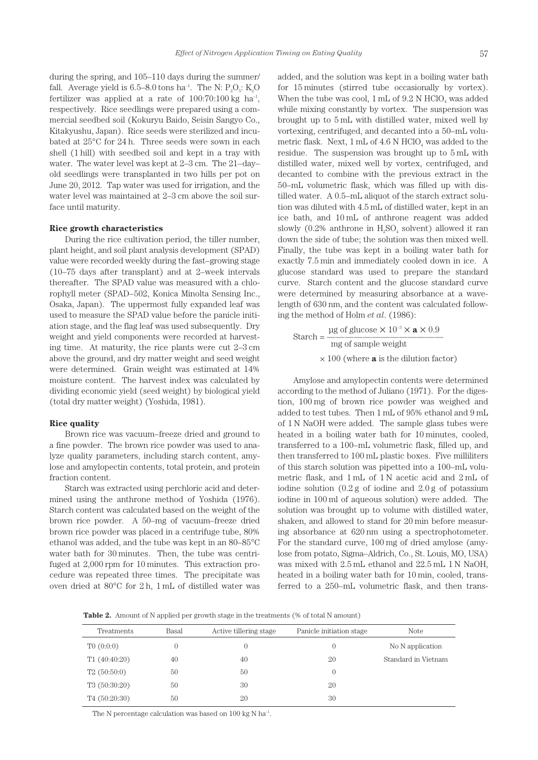during the spring, and 105–110 days during the summer/ fall. Average yield is  $6.5-8.0$  tons ha<sup>-1</sup>. The N:  $P_2O_5$ : K<sub>2</sub>O fertilizer was applied at a rate of  $100:70:100 \text{ kg } \text{ha}^{-1}$ , respectively. Rice seedlings were prepared using a commercial seedbed soil (Kokuryu Baido, Seisin Sangyo Co., Kitakyushu, Japan). Rice seeds were sterilized and incubated at 25°C for 24 h. Three seeds were sown in each shell (1 hill) with seedbed soil and kept in a tray with water. The water level was kept at 2–3 cm. The 21–day– old seedlings were transplanted in two hills per pot on June 20, 2012. Tap water was used for irrigation, and the water level was maintained at 2–3 cm above the soil surface until maturity.

#### **Rice growth characteristics**

During the rice cultivation period, the tiller number, plant height, and soil plant analysis development (SPAD) value were recorded weekly during the fast–growing stage (10–75 days after transplant) and at 2–week intervals thereafter. The SPAD value was measured with a chlorophyll meter (SPAD–502, Konica Minolta Sensing Inc., Osaka, Japan). The uppermost fully expanded leaf was used to measure the SPAD value before the panicle initiation stage, and the flag leaf was used subsequently. Dry weight and yield components were recorded at harvesting time. At maturity, the rice plants were cut 2–3 cm above the ground, and dry matter weight and seed weight were determined. Grain weight was estimated at 14% moisture content. The harvest index was calculated by dividing economic yield (seed weight) by biological yield (total dry matter weight) (Yoshida, 1981).

#### **Rice quality**

Brown rice was vacuum–freeze dried and ground to a fine powder. The brown rice powder was used to analyze quality parameters, including starch content, amylose and amylopectin contents, total protein, and protein fraction content.

Starch was extracted using perchloric acid and determined using the anthrone method of Yoshida (1976). Starch content was calculated based on the weight of the brown rice powder. A 50–mg of vacuum–freeze dried brown rice powder was placed in a centrifuge tube, 80% ethanol was added, and the tube was kept in an 80–85°C water bath for 30 minutes. Then, the tube was centrifuged at 2,000 rpm for 10 minutes. This extraction procedure was repeated three times. The precipitate was oven dried at 80°C for 2 h, 1 mL of distilled water was added, and the solution was kept in a boiling water bath for 15 minutes (stirred tube occasionally by vortex). When the tube was cool,  $1 \text{ mL of } 9.2 \text{ N HClO}_4$  was added while mixing constantly by vortex. The suspension was brought up to 5 mL with distilled water, mixed well by vortexing, centrifuged, and decanted into a 50–mL volumetric flask. Next,  $1 \text{ mL of } 4.6 \text{ N HClO}_4$  was added to the residue. The suspension was brought up to 5 mL with distilled water, mixed well by vortex, centrifuged, and decanted to combine with the previous extract in the 50–mL volumetric flask, which was filled up with distilled water. A 0.5–mL aliquot of the starch extract solution was diluted with 4.5 mL of distilled water, kept in an ice bath, and 10 mL of anthrone reagent was added slowly (0.2% anthrone in  $H_2SO_4$  solvent) allowed it ran down the side of tube; the solution was then mixed well. Finally, the tube was kept in a boiling water bath for exactly 7.5 min and immediately cooled down in ice. A glucose standard was used to prepare the standard curve. Starch content and the glucose standard curve were determined by measuring absorbance at a wavelength of 630 nm, and the content was calculated following the method of Holm *et al*. (1986):

Startch = 
$$
\frac{\mu \text{g of glucose} \times 10^{-3} \times \text{a} \times 0.9}{\text{mg of sample weight}}
$$

$$
\times 100 \text{ (where } \text{a is the dilution factor)}
$$

Amylose and amylopectin contents were determined according to the method of Juliano (1971). For the digestion, 100 mg of brown rice powder was weighed and added to test tubes. Then 1 mL of 95% ethanol and 9 mL of 1 N NaOH were added. The sample glass tubes were heated in a boiling water bath for 10 minutes, cooled, transferred to a 100–mL volumetric flask, filled up, and then transferred to 100 mL plastic boxes. Five milliliters of this starch solution was pipetted into a 100–mL volumetric flask, and 1 mL of 1 N acetic acid and 2 mL of iodine solution (0.2 g of iodine and 2.0 g of potassium iodine in 100 ml of aqueous solution) were added. The solution was brought up to volume with distilled water, shaken, and allowed to stand for 20 min before measuring absorbance at 620 nm using a spectrophotometer. For the standard curve, 100 mg of dried amylose (amylose from potato, Sigma–Aldrich, Co., St. Louis, MO, USA) was mixed with 2.5 mL ethanol and 22.5 mL 1 N NaOH, heated in a boiling water bath for 10 min, cooled, transferred to a 250–mL volumetric flask, and then trans-

Table 2 **Table 2.** Amount of N applied per growth stage in the treatments (% of total N amount)

| Basal<br>Treatments |    | Active tillering stage | Panicle initiation stage | <b>Note</b>         |  |
|---------------------|----|------------------------|--------------------------|---------------------|--|
|                     |    |                        |                          |                     |  |
| T0(0:0:0)           |    |                        | 0                        | No N application    |  |
| T1(40:40:20)        | 40 | 40                     | 20                       | Standard in Vietnam |  |
| T2(50:50:0)         | 50 | 50                     | $\overline{0}$           |                     |  |
| T3(50:30:20)        | 50 | 30                     | 20                       |                     |  |
| T4(50:20:30)        | 50 | 20                     | 30                       |                     |  |

The N percentage calculation was based on 100 kg N ha<sup>-1</sup>.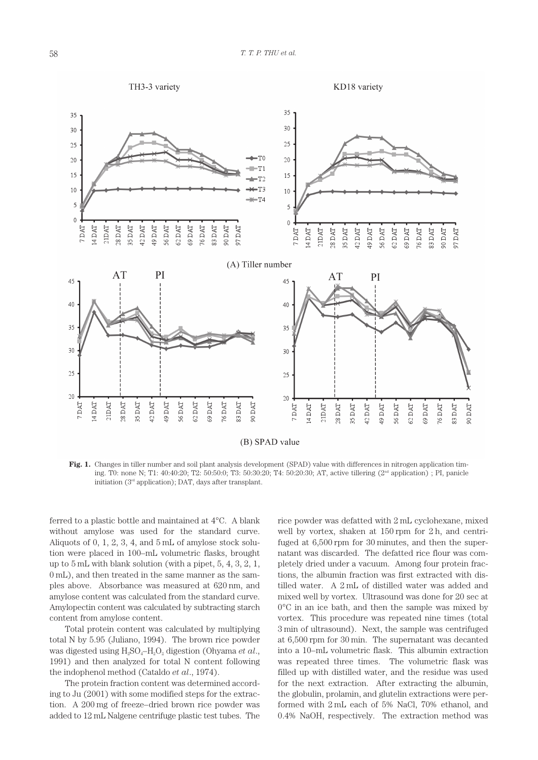

**Fig. 1.** Changes in tiller number and soil plant analysis development (SPAD) value with differences in nitrogen application timing. T0: none N; T1: 40:40:20; T2: 50:50:0; T3: 50:30:20; T4: 50:20:30; AT, active tillering (2<sup>nd</sup> application) ; PI, panicle initiation  $(3<sup>rd</sup>$  application); DAT, days after transplant.

ferred to a plastic bottle and maintained at 4°C. A blank without amylose was used for the standard curve. Aliquots of 0, 1, 2, 3, 4, and 5 mL of amylose stock solution were placed in 100–mL volumetric flasks, brought up to 5 mL with blank solution (with a pipet, 5, 4, 3, 2, 1, 0 mL), and then treated in the same manner as the samples above. Absorbance was measured at 620 nm, and amylose content was calculated from the standard curve. Amylopectin content was calculated by subtracting starch content from amylose content.

Total protein content was calculated by multiplying total N by 5.95 (Juliano, 1994). The brown rice powder was digested using H<sub>2</sub>SO<sub>4</sub>–H<sub>2</sub>O<sub>2</sub> digestion (Ohyama *et al.*, 1991) and then analyzed for total N content following the indophenol method (Cataldo *et al*., 1974).

The protein fraction content was determined according to Ju (2001) with some modified steps for the extraction. A 200 mg of freeze–dried brown rice powder was added to 12 mL Nalgene centrifuge plastic test tubes. The

rice powder was defatted with 2 mL cyclohexane, mixed well by vortex, shaken at 150 rpm for 2 h, and centrifuged at 6,500 rpm for 30 minutes, and then the supernatant was discarded. The defatted rice flour was completely dried under a vacuum. Among four protein fractions, the albumin fraction was first extracted with distilled water. A 2 mL of distilled water was added and mixed well by vortex. Ultrasound was done for 20 sec at 0°C in an ice bath, and then the sample was mixed by vortex. This procedure was repeated nine times (total 3 min of ultrasound). Next, the sample was centrifuged at 6,500 rpm for 30 min. The supernatant was decanted into a 10–mL volumetric flask. This albumin extraction was repeated three times. The volumetric flask was filled up with distilled water, and the residue was used for the next extraction. After extracting the albumin, the globulin, prolamin, and glutelin extractions were performed with 2 mL each of 5% NaCl, 70% ethanol, and 0.4% NaOH, respectively. The extraction method was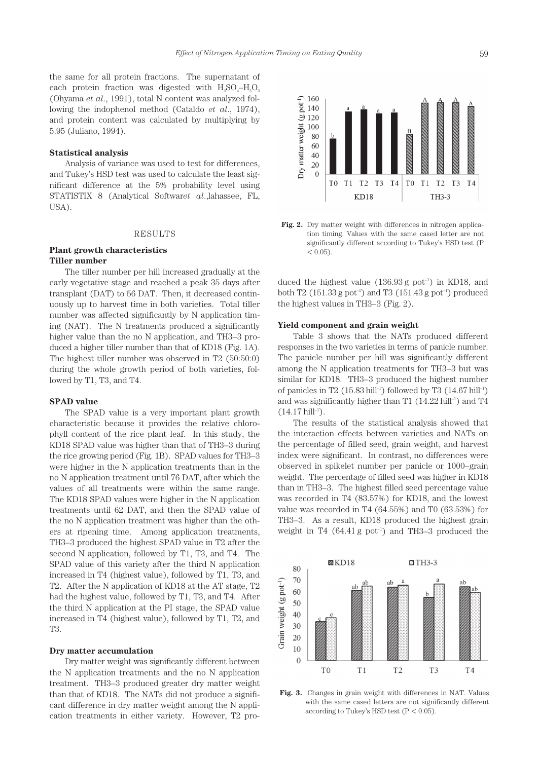the same for all protein fractions. The supernatant of each protein fraction was digested with  $H_2SO_4-H_2O_2$ (Ohyama *et al*., 1991), total N content was analyzed following the indophenol method (Cataldo *et al*., 1974), and protein content was calculated by multiplying by 5.95 (Juliano, 1994).

## **Statistical analysis**

Analysis of variance was used to test for differences, and Tukey's HSD test was used to calculate the least significant difference at the 5% probability level using STATISTIX 8 (Analytical Softwar*et al*.,lahassee, FL, USA).

## RESULTS

## **Plant growth characteristics Tiller number**

The tiller number per hill increased gradually at the early vegetative stage and reached a peak 35 days after transplant (DAT) to 56 DAT. Then, it decreased continuously up to harvest time in both varieties. Total tiller number was affected significantly by N application timing (NAT). The N treatments produced a significantly higher value than the no N application, and TH3–3 produced a higher tiller number than that of KD18 (Fig. 1A). The highest tiller number was observed in T2 (50:50:0) during the whole growth period of both varieties, followed by T1, T3, and T4.

## **SPAD value**

The SPAD value is a very important plant growth characteristic because it provides the relative chlorophyll content of the rice plant leaf. In this study, the KD18 SPAD value was higher than that of TH3–3 during the rice growing period (Fig. 1B). SPAD values for TH3–3 were higher in the N application treatments than in the no N application treatment until 76 DAT, after which the values of all treatments were within the same range. The KD18 SPAD values were higher in the N application treatments until 62 DAT, and then the SPAD value of the no N application treatment was higher than the others at ripening time. Among application treatments, TH3–3 produced the highest SPAD value in T2 after the second N application, followed by T1, T3, and T4. The SPAD value of this variety after the third N application increased in T4 (highest value), followed by T1, T3, and T2. After the N application of KD18 at the AT stage, T2 had the highest value, followed by T1, T3, and T4. After the third N application at the PI stage, the SPAD value increased in T4 (highest value), followed by T1, T2, and T3.

## **Dry matter accumulation**

Dry matter weight was significantly different between the N application treatments and the no N application treatment. TH3–3 produced greater dry matter weight than that of KD18. The NATs did not produce a significant difference in dry matter weight among the N application treatments in either variety. However, T2 pro-



**Fig. 2.** Dry matter weight with differences in nitrogen application timing. Values with the same cased letter are not significantly different according to Tukey's HSD test (P  $< 0.05$ ).

duced the highest value  $(136.93 \text{ g }$  pot<sup>-1</sup>) in KD18, and both T2 (151.33 g pot<sup>-1</sup>) and T3 (151.43 g pot<sup>-1</sup>) produced the highest values in TH3–3 (Fig. 2).

#### **Yield component and grain weight**

Table 3 shows that the NATs produced different responses in the two varieties in terms of panicle number. The panicle number per hill was significantly different among the N application treatments for TH3–3 but was similar for KD18. TH3–3 produced the highest number of panicles in T2 (15.83 hill<sup>-1</sup>) followed by T3 (14.67 hill<sup>-1</sup>) and was significantly higher than T1  $(14.22 \text{ hill}^{-1})$  and T4  $(14.17 \text{ hill}^{-1})$ .

The results of the statistical analysis showed that the interaction effects between varieties and NATs on the percentage of filled seed, grain weight, and harvest index were significant. In contrast, no differences were observed in spikelet number per panicle or 1000–grain weight. The percentage of filled seed was higher in KD18 than in TH3–3. The highest filled seed percentage value was recorded in T4 (83.57%) for KD18, and the lowest value was recorded in T4 (64.55%) and T0 (63.53%) for TH3–3. As a result, KD18 produced the highest grain weight in T4  $(64.41 g$  pot<sup>-1</sup>) and TH3-3 produced the



**Fig. 3.** Changes in grain weight with differences in NAT. Values with the same cased letters are not significantly different according to Tukey's HSD test  $(P < 0.05)$ .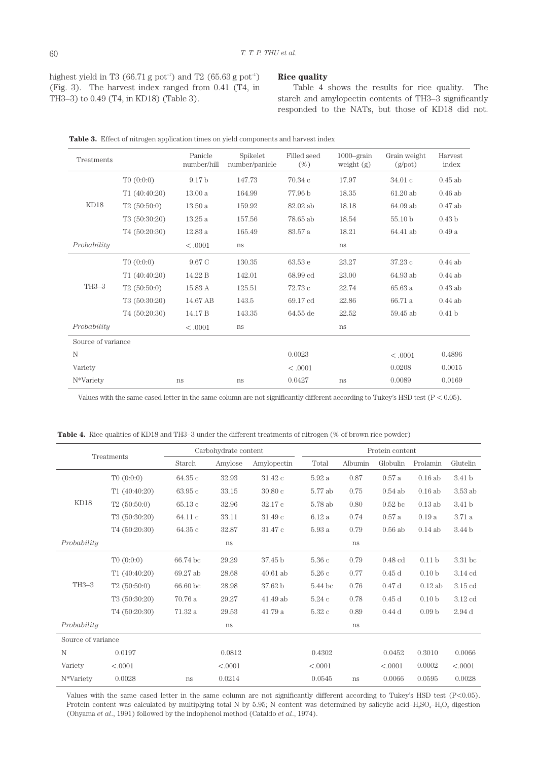highest yield in T3 (66.71 g pot<sup>-1</sup>) and T2 (65.63 g pot<sup>-1</sup>) (Fig. 3). The harvest index ranged from 0.41 (T4, in TH3–3) to 0.49 (T4, in KD18) (Table 3).

## **Rice quality**

Table 4 shows the results for rice quality. The starch and amylopectin contents of TH3–3 significantly responded to the NATs, but those of KD18 did not.

| Treatments         |               | Panicle<br>number/hill | Spikelet<br>number/panicle | Filled seed<br>(% ) | $1000$ –grain<br>weight $(g)$ | Grain weight<br>(g <sub>pot</sub> ) | Harvest<br>index  |
|--------------------|---------------|------------------------|----------------------------|---------------------|-------------------------------|-------------------------------------|-------------------|
| KD <sub>18</sub>   | T0(0:0:0)     | 9.17 <sub>b</sub>      | 147.73                     | 70.34c              | 17.97                         | 34.01c                              | $0.45$ ab         |
|                    | T1(40:40:20)  | 13.00a                 | 164.99                     | 77.96 b             | 18.35                         | 61.20ab                             | $0.46$ ab         |
|                    | T2(50:50:0)   | 13.50a                 | 159.92                     | 82.02 ab            | 18.18                         | 64.09 ab                            | $0.47$ ab         |
|                    | T3 (50:30:20) | 13.25a                 | 157.56                     | 78.65 ab            | 18.54                         | 55.10 b                             | 0.43 <sub>b</sub> |
|                    | T4(50:20:30)  | 12.83a                 | 165.49                     | 83.57 a             | 18.21                         | 64.41 ab                            | 0.49a             |
| Probability        |               | < 0.001                | ns                         |                     | <sub>ns</sub>                 |                                     |                   |
| TH <sub>3-3</sub>  | T0(0:0:0)     | 9.67 C                 | 130.35                     | 63.53 e             | 23.27                         | 37.23 c                             | $0.44$ ab         |
|                    | T1(40:40:20)  | 14.22 B                | 142.01                     | 68.99 cd            | 23.00                         | 64.93 ab                            | $0.44$ ab         |
|                    | T2(50:50:0)   | 15.83 A                | 125.51                     | 72.73c              | 22.74                         | 65.63 a                             | $0.43$ ab         |
|                    | T3(50:30:20)  | 14.67 AB               | 143.5                      | 69.17 cd            | 22.86                         | 66.71 a                             | $0.44$ ab         |
|                    | T4(50:20:30)  | 14.17 B                | 143.35                     | 64.55 de            | 22.52                         | 59.45 ab                            | 0.41 <sub>b</sub> |
| Probability        |               | < 0.001                | ns                         |                     | ns                            |                                     |                   |
| Source of variance |               |                        |                            |                     |                               |                                     |                   |
| N                  |               |                        |                            | 0.0023              |                               | < .0001                             | 0.4896            |
| Variety            |               |                        |                            | < .0001             |                               | 0.0208                              | 0.0015            |
| N*Variety          |               | ns                     | ns                         | 0.0427              | <b>ns</b>                     | 0.0089                              | 0.0169            |

Table 3. Effect of nitrogen application times on yield components and harvest index

Values with the same cased letter in the same column are not significantly different according to Tukey's HSD test (P < 0.05).

**Table 4.** Rice qualities of KD18 and TH3–3 under the different treatments of nitrogen (% of brown rice powder)

| Treatments         |               | Carbohydrate content |         | Protein content |         |         |                    |                   |           |
|--------------------|---------------|----------------------|---------|-----------------|---------|---------|--------------------|-------------------|-----------|
|                    |               | Starch               | Amylose | Amylopectin     | Total   | Albumin | Globulin           | Prolamin          | Glutelin  |
| KD18               | T0(0:0:0)     | 64.35 с              | 32.93   | 31.42c          | 5.92a   | 0.87    | 0.57a              | $0.16$ ab         | 3.41 b    |
|                    | T1(40:40:20)  | 63.95c               | 33.15   | 30.80c          | 5.77 ab | 0.75    | $0.54$ ab          | $0.16$ ab         | 3.53 ab   |
|                    | T2(50:50:0)   | 65.13c               | 32.96   | 32.17c          | 5.78 ab | 0.80    | 0.52 <sub>bc</sub> | $0.13$ ab         | 3.41 b    |
|                    | T3(50:30:20)  | 64.11c               | 33.11   | 31.49 с         | 6.12a   | 0.74    | 0.57a              | 0.19a             | 3.71 a    |
|                    | T4 (50:20:30) | 64.35 с              | 32.87   | 31.47 c         | 5.93 a  | 0.79    | $0.56$ ab          | $0.14$ ab         | 3.44 b    |
| Probability        |               |                      | ns      |                 |         | ns      |                    |                   |           |
| TH3-3              | T0(0:0:0)     | 66.74 bc             | 29.29   | 37.45 b         | 5.36 с  | 0.79    | $0.48$ cd          | 0.11 <sub>b</sub> | 3.31 bc   |
|                    | T1(40:40:20)  | 69.27 ab             | 28.68   | $40.61$ ab      | 5.26 с  | 0.77    | 0.45d              | 0.10 <sub>b</sub> | $3.14$ cd |
|                    | T2(50:50:0)   | 66.60 bc             | 28.98   | 37.62 b         | 5.44 bc | 0.76    | 0.47d              | $0.12$ ab         | $3.15$ cd |
|                    | T3(50:30:20)  | 70.76 a              | 29.27   | $41.49$ ab      | 5.24c   | 0.78    | 0.45d              | 0.10 <sub>b</sub> | $3.12$ cd |
|                    | T4 (50:20:30) | 71.32 a              | 29.53   | 41.79 a         | 5.32 c  | 0.89    | 0.44d              | 0.09 <sub>b</sub> | 2.94d     |
| Probability        |               |                      | ns      |                 |         | ns      |                    |                   |           |
| Source of variance |               |                      |         |                 |         |         |                    |                   |           |
| N                  | 0.0197        |                      | 0.0812  |                 | 0.4302  |         | 0.0452             | 0.3010            | 0.0066    |
| Variety            | < .0001       |                      | < .0001 |                 | < .0001 |         | < .0001            | 0.0002            | < .0001   |
| N*Variety          | 0.0028        | ns                   | 0.0214  |                 | 0.0545  | ns      | 0.0066             | 0.0595            | 0.0028    |

Values with the same cased letter in the same column are not significantly different according to Tukey's HSD test (P<0.05). Protein content was calculated by multiplying total N by 5.95; N content was determined by salicylic acid–H<sub>2</sub>SO<sub>4</sub>–H<sub>2</sub>O<sub>2</sub> digestion (Ohyama *et al*., 1991) followed by the indophenol method (Cataldo *et al*., 1974).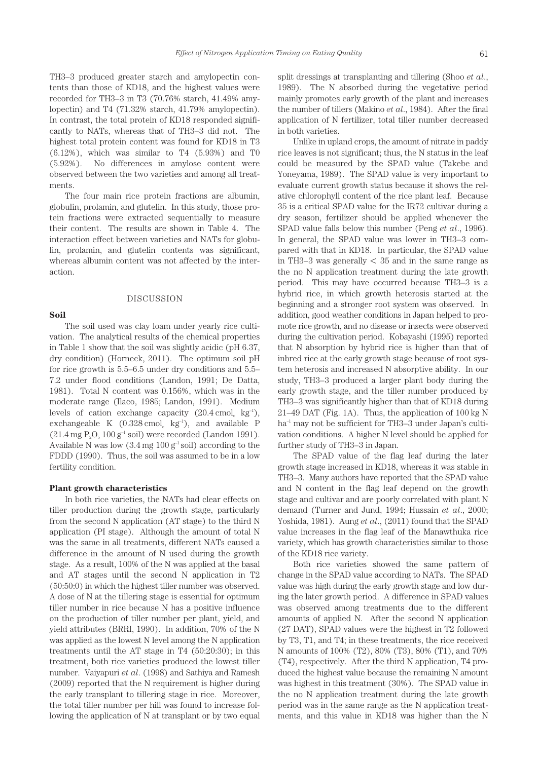TH3–3 produced greater starch and amylopectin contents than those of KD18, and the highest values were recorded for TH3–3 in T3 (70.76% starch, 41.49% amylopectin) and T4 (71.32% starch, 41.79% amylopectin). In contrast, the total protein of KD18 responded significantly to NATs, whereas that of TH3–3 did not. The highest total protein content was found for KD18 in T3 (6.12%), which was similar to T4 (5.93%) and T0 (5.92%). No differences in amylose content were observed between the two varieties and among all treatments.

The four main rice protein fractions are albumin, globulin, prolamin, and glutelin. In this study, those protein fractions were extracted sequentially to measure their content. The results are shown in Table 4. The interaction effect between varieties and NATs for globulin, prolamin, and glutelin contents was significant, whereas albumin content was not affected by the interaction.

## DISCUSSION

**Soil**

The soil used was clay loam under yearly rice cultivation. The analytical results of the chemical properties in Table 1 show that the soil was slightly acidic (pH 6.37, dry condition) (Horneck, 2011). The optimum soil pH for rice growth is 5.5–6.5 under dry conditions and 5.5– 7.2 under flood conditions (Landon, 1991; De Datta, 1981). Total N content was 0.156%, which was in the moderate range (Ilaco, 1985; Landon, 1991). Medium levels of cation exchange capacity  $(20.4 \text{ cmol s kg}^{-1})$ , exchangeable K  $(0.328 \text{ cmol}, \text{kg}^{-1})$ , and available P  $(21.4 \text{ mg } P<sub>2</sub>O<sub>5</sub> 100 g<sup>-1</sup> soil) were recorded (Landon 1991).$ Available N was low  $(3.4 \text{ mg } 100 \text{ g}^{-1} \text{ soil})$  according to the FDDD (1990). Thus, the soil was assumed to be in a low fertility condition.

## **Plant growth characteristics**

In both rice varieties, the NATs had clear effects on tiller production during the growth stage, particularly from the second N application (AT stage) to the third N application (PI stage). Although the amount of total N was the same in all treatments, different NATs caused a difference in the amount of N used during the growth stage. As a result, 100% of the N was applied at the basal and AT stages until the second N application in T2 (50:50:0) in which the highest tiller number was observed. A dose of N at the tillering stage is essential for optimum tiller number in rice because N has a positive influence on the production of tiller number per plant, yield, and yield attributes (BRRI, 1990). In addition, 70% of the N was applied as the lowest N level among the N application treatments until the AT stage in T4 (50:20:30); in this treatment, both rice varieties produced the lowest tiller number. Vaiyapuri *et al*. (1998) and Sathiya and Ramesh (2009) reported that the N requirement is higher during the early transplant to tillering stage in rice. Moreover, the total tiller number per hill was found to increase following the application of N at transplant or by two equal split dressings at transplanting and tillering (Shoo *et al*., 1989). The N absorbed during the vegetative period mainly promotes early growth of the plant and increases the number of tillers (Makino *et al*., 1984). After the final application of N fertilizer, total tiller number decreased in both varieties.

Unlike in upland crops, the amount of nitrate in paddy rice leaves is not significant; thus, the N status in the leaf could be measured by the SPAD value (Takebe and Yoneyama, 1989). The SPAD value is very important to evaluate current growth status because it shows the relative chlorophyll content of the rice plant leaf. Because 35 is a critical SPAD value for the IR72 cultivar during a dry season, fertilizer should be applied whenever the SPAD value falls below this number (Peng *et al*., 1996). In general, the SPAD value was lower in TH3–3 compared with that in KD18. In particular, the SPAD value in TH3–3 was generally  $<$  35 and in the same range as the no N application treatment during the late growth period. This may have occurred because TH3–3 is a hybrid rice, in which growth heterosis started at the beginning and a stronger root system was observed. In addition, good weather conditions in Japan helped to promote rice growth, and no disease or insects were observed during the cultivation period. Kobayashi (1995) reported that N absorption by hybrid rice is higher than that of inbred rice at the early growth stage because of root system heterosis and increased N absorptive ability. In our study, TH3–3 produced a larger plant body during the early growth stage, and the tiller number produced by TH3–3 was significantly higher than that of KD18 during 21–49 DAT (Fig. 1A). Thus, the application of 100 kg N ha<sup>-1</sup> may not be sufficient for TH3–3 under Japan's cultivation conditions. A higher N level should be applied for further study of TH3–3 in Japan.

The SPAD value of the flag leaf during the later growth stage increased in KD18, whereas it was stable in TH3–3. Many authors have reported that the SPAD value and N content in the flag leaf depend on the growth stage and cultivar and are poorly correlated with plant N demand (Turner and Jund, 1994; Hussain *et al*., 2000; Yoshida, 1981). Aung *et al*., (2011) found that the SPAD value increases in the flag leaf of the Manawthuka rice variety, which has growth characteristics similar to those of the KD18 rice variety.

Both rice varieties showed the same pattern of change in the SPAD value according to NATs. The SPAD value was high during the early growth stage and low during the later growth period. A difference in SPAD values was observed among treatments due to the different amounts of applied N. After the second N application (27 DAT), SPAD values were the highest in T2 followed by T3, T1, and T4; in these treatments, the rice received N amounts of 100% (T2), 80% (T3), 80% (T1), and 70% (T4), respectively. After the third N application, T4 produced the highest value because the remaining N amount was highest in this treatment (30%). The SPAD value in the no N application treatment during the late growth period was in the same range as the N application treatments, and this value in KD18 was higher than the N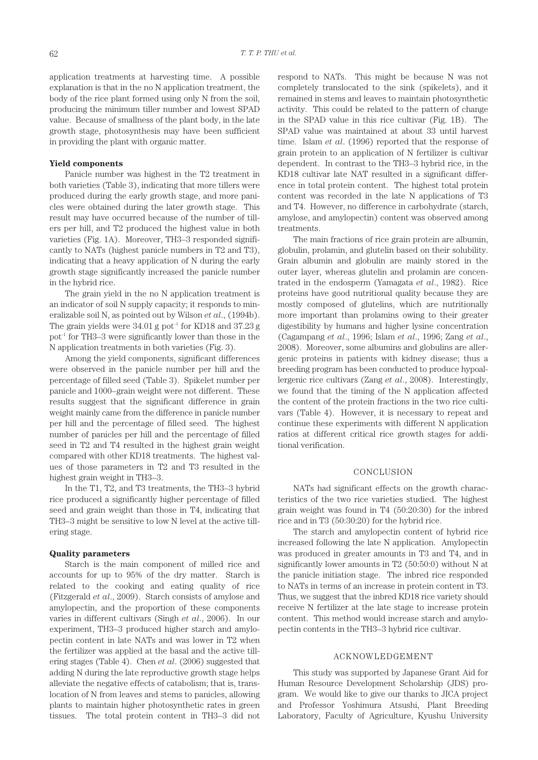application treatments at harvesting time. A possible explanation is that in the no N application treatment, the body of the rice plant formed using only N from the soil, producing the minimum tiller number and lowest SPAD value. Because of smallness of the plant body, in the late growth stage, photosynthesis may have been sufficient in providing the plant with organic matter.

#### **Yield components**

Panicle number was highest in the T2 treatment in both varieties (Table 3), indicating that more tillers were produced during the early growth stage, and more panicles were obtained during the later growth stage. This result may have occurred because of the number of tillers per hill, and T2 produced the highest value in both varieties (Fig. 1A). Moreover, TH3–3 responded significantly to NATs (highest panicle numbers in T2 and T3), indicating that a heavy application of N during the early growth stage significantly increased the panicle number in the hybrid rice.

The grain yield in the no N application treatment is an indicator of soil N supply capacity; it responds to mineralizable soil N, as pointed out by Wilson *et al*., (1994b). The grain yields were  $34.01$  g pot<sup>-1</sup> for KD18 and  $37.23$  g pot–1 for TH3–3 were significantly lower than those in the N application treatments in both varieties (Fig. 3).

Among the yield components, significant differences were observed in the panicle number per hill and the percentage of filled seed (Table 3). Spikelet number per panicle and 1000–grain weight were not different. These results suggest that the significant difference in grain weight mainly came from the difference in panicle number per hill and the percentage of filled seed. The highest number of panicles per hill and the percentage of filled seed in T2 and T4 resulted in the highest grain weight compared with other KD18 treatments. The highest values of those parameters in T2 and T3 resulted in the highest grain weight in TH3–3.

In the T1, T2, and T3 treatments, the TH3–3 hybrid rice produced a significantly higher percentage of filled seed and grain weight than those in T4, indicating that TH3–3 might be sensitive to low N level at the active tillering stage.

#### **Quality parameters**

Starch is the main component of milled rice and accounts for up to 95% of the dry matter. Starch is related to the cooking and eating quality of rice (Fitzgerald *et al*., 2009). Starch consists of amylose and amylopectin, and the proportion of these components varies in different cultivars (Singh *et al*., 2006). In our experiment, TH3–3 produced higher starch and amylopectin content in late NATs and was lower in T2 when the fertilizer was applied at the basal and the active tillering stages (Table 4). Chen *et al*. (2006) suggested that adding N during the late reproductive growth stage helps alleviate the negative effects of catabolism; that is, translocation of N from leaves and stems to panicles, allowing plants to maintain higher photosynthetic rates in green tissues. The total protein content in TH3–3 did not respond to NATs. This might be because N was not completely translocated to the sink (spikelets), and it remained in stems and leaves to maintain photosynthetic activity. This could be related to the pattern of change in the SPAD value in this rice cultivar (Fig. 1B). The SPAD value was maintained at about 33 until harvest time. Islam *et al*. (1996) reported that the response of grain protein to an application of N fertilizer is cultivar dependent. In contrast to the TH3–3 hybrid rice, in the KD18 cultivar late NAT resulted in a significant difference in total protein content. The highest total protein content was recorded in the late N applications of T3 and T4. However, no difference in carbohydrate (starch, amylose, and amylopectin) content was observed among treatments.

The main fractions of rice grain protein are albumin, globulin, prolamin, and glutelin based on their solubility. Grain albumin and globulin are mainly stored in the outer layer, whereas glutelin and prolamin are concentrated in the endosperm (Yamagata *et al*., 1982). Rice proteins have good nutritional quality because they are mostly composed of glutelins, which are nutritionally more important than prolamins owing to their greater digestibility by humans and higher lysine concentration (Cagampang *et al*., 1996; Islam *et al*., 1996; Zang *et al*., 2008). Moreover, some albumins and globulins are allergenic proteins in patients with kidney disease; thus a breeding program has been conducted to produce hypoallergenic rice cultivars (Zang *et al*., 2008). Interestingly, we found that the timing of the N application affected the content of the protein fractions in the two rice cultivars (Table 4). However, it is necessary to repeat and continue these experiments with different N application ratios at different critical rice growth stages for additional verification.

#### CONCLUSION

NATs had significant effects on the growth characteristics of the two rice varieties studied. The highest grain weight was found in T4 (50:20:30) for the inbred rice and in T3 (50:30:20) for the hybrid rice.

The starch and amylopectin content of hybrid rice increased following the late N application. Amylopectin was produced in greater amounts in T3 and T4, and in significantly lower amounts in T2 (50:50:0) without N at the panicle initiation stage. The inbred rice responded to NATs in terms of an increase in protein content in T3. Thus, we suggest that the inbred KD18 rice variety should receive N fertilizer at the late stage to increase protein content. This method would increase starch and amylopectin contents in the TH3–3 hybrid rice cultivar.

## ACKNOWLEDGEMENT

This study was supported by Japanese Grant Aid for Human Resource Development Scholarship (JDS) program. We would like to give our thanks to JICA project and Professor Yoshimura Atsushi, Plant Breeding Laboratory, Faculty of Agriculture, Kyushu University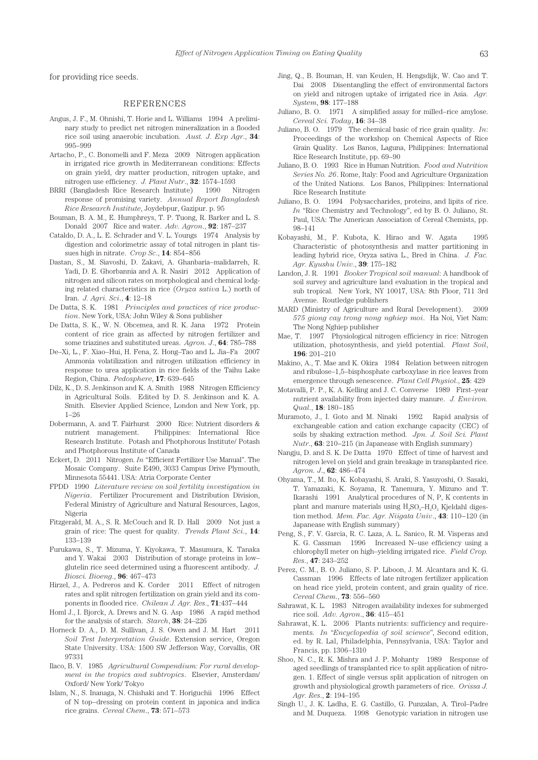for providing rice seeds.

#### REFERENCES

- Angus, J. F., M. Ohnishi, T. Horie and L. Williams 1994 A preliminary study to predict net nitrogen mineralization in a flooded rice soil using anaerobic incubation. *Aust. J. Exp Agr*., **34**: 995–999
- Artacho, P., C. Bonomelli and F. Meza 2009 Nitrogen application in irrigated rice growth in Mediterranean conditions: Effects on grain yield, dry matter production, nitrogen uptake, and nitrogen use efficiency. *J. Plant Nutr*., **32**: 1574–1593
- BRRI (Bangladesh Rice Research Institute) 1990 Nitrogen response of promising variety. *Annual Report Bangladesh Rice Research Institute*, Joydebpur, Gazipur. p. 95
- Bouman, B. A. M., E. Humphreys, T. P. Tuong, R. Barker and L. S. Donald 2007 Rice and water. *Adv. Agron*., **92**: 187–237
- Cataldo, D. A., L. E. Schrader and V. L. Youngs 1974 Analysis by digestion and colorimetric assay of total nitrogen in plant tissues high in nitrate. *Crop Sc*., **14**: 854−856
- Dastan, S., M. Siavoshi, D. Zakavi, A. Ghanbaria–malidarreh, R. Yadi, D. E. Ghorbannia and A. R. Nasiri 2012 Application of nitrogen and silicon rates on morphological and chemical lodging related characteristics in rice (*Oryza sativa* L.) north of Iran. *J. Agri. Sci*., **4**: 12–18
- De Datta, S. K. 1981 *Principles and practices of rice production*. New York, USA: John Wiley & Sons publisher
- De Datta, S. K., W. N. Obcemea, and R. K. Jana 1972 Protein content of rice grain as affected by nitrogen fertilizer and some triazines and substituted ureas. *Agron. J*., **64**: 785–788
- De–Xi, L., F. Xiao–Hui, H. Fena, Z. Hong–Tao and L. Jia–Fa 2007 Ammonia volatilization and nitrogen utilization efficiency in response to urea application in rice fields of the Taihu Lake Region, China. *Pedosphere*, **17**: 639–645
- Dilz, K., D. S. Jenkinson and K. A. Smith 1988 Nitrogen Efficiency in Agricultural Soils. Edited by D. S. Jenkinson and K. A. Smith. Elsevier Applied Science, London and New York, pp. 1–26
- Dobermann, A. and T. Fairhurst 2000 Rice: Nutrient disorders & nutrient management. Philippines: International Rice Research Institute. Potash and Photphorous Institute/ Potash and Photphorous Institute of Canada
- Eckert, D. 2011 Nitrogen. *In* "Efficient Fertilizer Use Manual". The Mosaic Company. Suite E490, 3033 Campus Drive Plymouth, Minnesota 55441. USA: Atria Corporate Center
- FPDD 1990 *Literature review on soil fertility investigation in Nigeria*. Fertilizer Procurement and Distribution Division, Federal Ministry of Agriculture and Natural Resources, Lagos, Nigeria
- Fitzgerald, M. A., S. R. McCouch and R. D. Hall 2009 Not just a grain of rice: The quest for quality. *Trends Plant Sci*., **14**: 133–139
- Furukawa, S., T. Mizuma, Y. Kiyokawa, T. Masumura, K. Tanaka and Y. Wakai 2003 Distribution of storage proteins in low– glutelin rice seed determined using a fluorescent antibody. *J. Biosci. Bioeng*., **96**: 467–473
- Hirzel, J., A. Pedreros and K. Corder 2011 Effect of nitrogen rates and split nitrogen fertilization on grain yield and its components in flooded rice. *Chilean J. Agr. Res*., **71**:437–444
- Homl J., I. Bjorck, A. Drews and N. G. Asp 1986 A rapid method for the analysis of starch. *Starch*, **38**: 24–226
- Horneck D. A., D. M. Sullivan, J. S. Owen and J. M. Hart 2011 *Soil Test Interpretation Guide*. Extension service, Oregon State University. USA: 1500 SW Jefferson Way, Corvallis, OR 97331
- Ilaco, B. V. 1985 *Agricultural Compendium: For rural development in the tropics and subtropics*. Elsevier, Amsterdam/ Oxford/ New York/ Tokyo
- Islam, N., S. Inanaga, N. Chishaki and T. Horiguchii 1996 Effect of N top–dressing on protein content in japonica and indica rice grains. *Cereal Chem*., **73**: 571–573
- Jing, Q., B. Bouman, H. van Keulen, H. Hengsdijk, W. Cao and T. Dai 2008 Disentangling the effect of environmental factors on yield and nitrogen uptake of irrigated rice in Asia. *Agr. System*, **98**: 177–188
- Juliano, B. O. 1971 A simplified assay for milled–rice amylose. *Cereal Sci. Today*, **16**: 34–38
- Juliano, B. O. 1979 The chemical basic of rice grain quality. *In*: Proceedings of the workshop on Chemical Aspects of Rice Grain Quality. Los Banos, Laguna, Philippines: International Rice Research Institute, pp. 69–90
- Juliano, B. O. 1993 Rice in Human Nutrition. *Food and Nutrition Series No. 26*. Rome, Italy: Food and Agriculture Organization of the United Nations. Los Banos, Philippines: International Rice Research Institute
- Juliano, B. O. 1994 Polysaccharides, proteins, and lipits of rice. *In* "Rice Chemistry and Technology", ed by B. O. Juliano, St. Paul, USA: The American Association of Cereal Chemists, pp. 98–141
- Kobayashi, M., F. Kubota, K. Hirao and W. Agata 1995 Characteristic of photosynthesis and matter partitioning in leading hybrid rice, Oryza sativa L., Bred in China. *J. Fac. Agr. Kyushu Univ*., **39**: 175–182
- Landon, J. R. 1991 *Booker Tropical soil manual*: A handbook of soil survey and agriculture land evaluation in the tropical and sub tropical. New York, NY 10017, USA: 8th Floor, 711 3rd Avenue. Routledge publishers
- MARD (Ministry of Agriculture and Rural Development). 2009 *575 giong cay trong nong nghiep moi*. Ha Noi, Viet Nam: The Nong Nghiep publisher
- Mae, T. 1997 Physiological nitrogen efficiency in rice: Nitrogen utilization, photosynthesis, and yield potential. *Plant Soil*, **196**: 201–210
- Makino, A., T. Mae and K. Okira 1984 Relation between nitrogen and ribulose–1,5–bisphosphate carboxylase in rice leaves from emergence through senescence. *Plant Cell Physiol*., **25**: 429
- Motavalli, P. P., K. A. Kelling and J. C. Converse 1989 First–year nutrient availability from injected dairy manure. *J. Environ. Qual*., **18**: 180−185
- Muramoto, J., I. Goto and M. Ninaki 1992 Rapid analysis of exchangeable cation and cation exchange capacity (CEC) of soils by shaking extraction method. *Jpn. J. Soil Sci. Plant Nutr*., **63**: 210−215 (in Japanease with English summary)
- Nangju, D. and S. K. De Datta 1970 Effect of time of harvest and nitrogen level on yield and grain breakage in transplanted rice. *Agron. J*., **62**: 486–474
- Ohyama, T., M. Ito, K. Kobayashi, S. Araki, S. Yasuyoshi, O. Sasaki, T. Yamazaki, K. Soyama, R. Tanemura, Y. Mizuno and T. Ikarashi 1991 Analytical procedures of N, P, K contents in plant and manure materials using  $H<sub>a</sub>SO<sub>a</sub>-H<sub>a</sub>O<sub>a</sub>$  Kjeldahl digestion method. *Mem. Fac. Agr. Niigata Univ*., **43**: 110−120 (in Japanease with English summary)
- Peng, S., F. V. Garcia, R. C. Laza, A. L. Sanico, R. M. Visperas and K. G. Cassman 1996 Increased N–use efficiency using a chlorophyll meter on high–yielding irrigated rice. *Field Crop. Res*., **47**: 243–252
- Perez, C. M., B. O. Juliano, S. P. Liboon, J. M. Alcantara and K. G. Cassman 1996 Effects of late nitrogen fertilizer application on head rice yield, protein content, and grain quality of rice. *Cereal Chem*., **73**: 556–560
- Sahrawat, K. L. 1983 Nitrogen availability indexes for submerged rice soil. *Adv. Agron*., **36**: 415–451
- Sahrawat, K. L. 2006 Plants nutrients: sufficiency and requirements. *In* "*Encyclopedia of soil science*", Second edition, ed. by R. Lal, Philadelphia, Pennsylvania, USA: Taylor and Francis, pp. 1306–1310
- Shoo, N. C., R. K. Mishra and J. P. Mohanty 1989 Response of aged seedlings of transplanted rice to split application of nitrogen. 1. Effect of single versus split application of nitrogen on growth and physiological growth parameters of rice. *Orissa J. Agr. Res*., **2**: 194–195
- Singh U., J. K. Ladha, E. G. Castillo, G. Punzalan, A. Tirol–Padre and M. Duqueza. 1998 Genotypic variation in nitrogen use